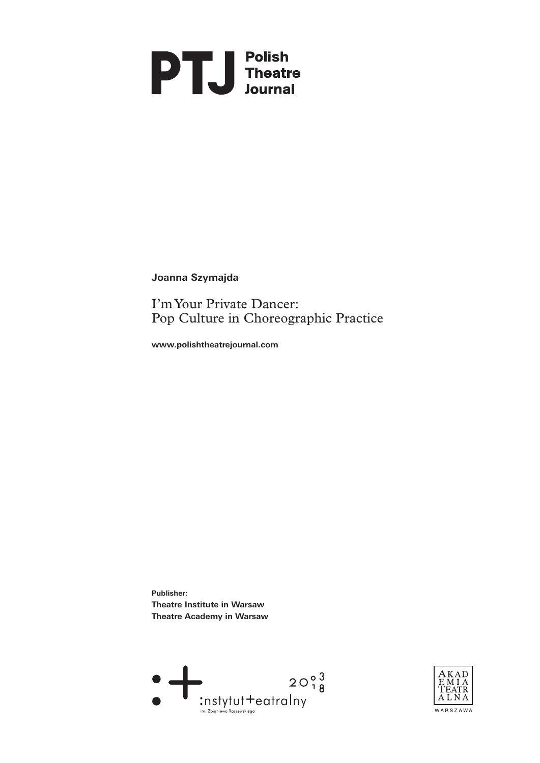

**Joanna Szymajda**

I'm Your Private Dancer: Pop Culture in Choreographic Practice

**[www.polishtheatrejournal.com](http://www.polishtheatrejournal.com/index.php/ptj/article/view/150/660)**

**Publisher: Theatre Institute in Warsaw Theatre Academy in Warsaw** 



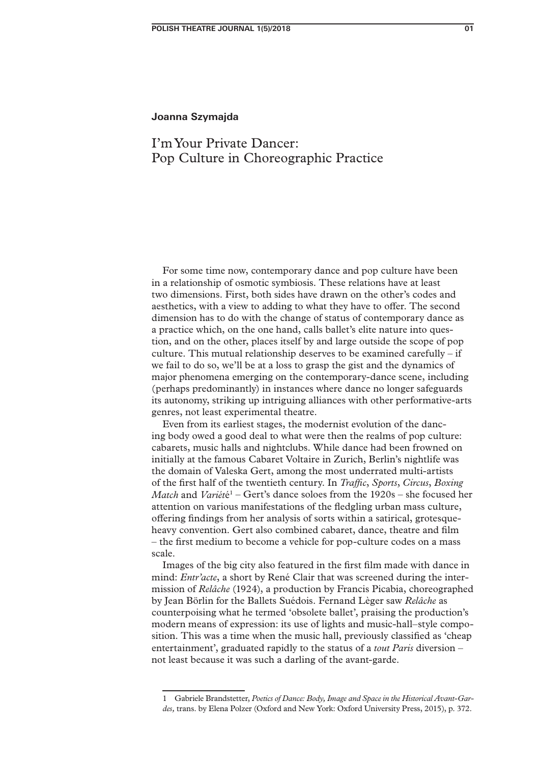# **Joanna Szymajda**

# I'm Your Private Dancer: Pop Culture in Choreographic Practice

For some time now, contemporary dance and pop culture have been in a relationship of osmotic symbiosis. These relations have at least two dimensions. First, both sides have drawn on the other's codes and aesthetics, with a view to adding to what they have to offer. The second dimension has to do with the change of status of contemporary dance as a practice which, on the one hand, calls ballet's elite nature into question, and on the other, places itself by and large outside the scope of pop culture. This mutual relationship deserves to be examined carefully – if we fail to do so, we'll be at a loss to grasp the gist and the dynamics of major phenomena emerging on the contemporary-dance scene, including (perhaps predominantly) in instances where dance no longer safeguards its autonomy, striking up intriguing alliances with other performative-arts genres, not least experimental theatre.

Even from its earliest stages, the modernist evolution of the dancing body owed a good deal to what were then the realms of pop culture: cabarets, music halls and nightclubs. While dance had been frowned on initially at the famous Cabaret Voltaire in Zurich, Berlin's nightlife was the domain of Valeska Gert, among the most underrated multi-artists of the first half of the twentieth century. In *Traffic*, *Sports*, *Circus*, *Boxing Match* and *Variét*é<sup>1</sup> – Gert's dance soloes from the 1920s – she focused her attention on various manifestations of the fledgling urban mass culture, offering findings from her analysis of sorts within a satirical, grotesqueheavy convention. Gert also combined cabaret, dance, theatre and film – the first medium to become a vehicle for pop-culture codes on a mass scale.

Images of the big city also featured in the first film made with dance in mind: *Entr'acte*, a short by René Clair that was screened during the intermission of *Relâche* (1924), a production by Francis Picabia, choreographed by Jean Börlin for the Ballets Suédois. Fernand Lèger saw *Relâche* as counterpoising what he termed 'obsolete ballet', praising the production's modern means of expression: its use of lights and music-hall–style composition. This was a time when the music hall, previously classified as 'cheap entertainment', graduated rapidly to the status of a *tout Paris* diversion – not least because it was such a darling of the avant-garde.

<sup>1</sup> Gabriele Brandstetter, *Poetics of Dance: Body, Image and Space in the Historical Avant-Gardes,* trans. by Elena Polzer (Oxford and New York: Oxford University Press, 2015), p. 372.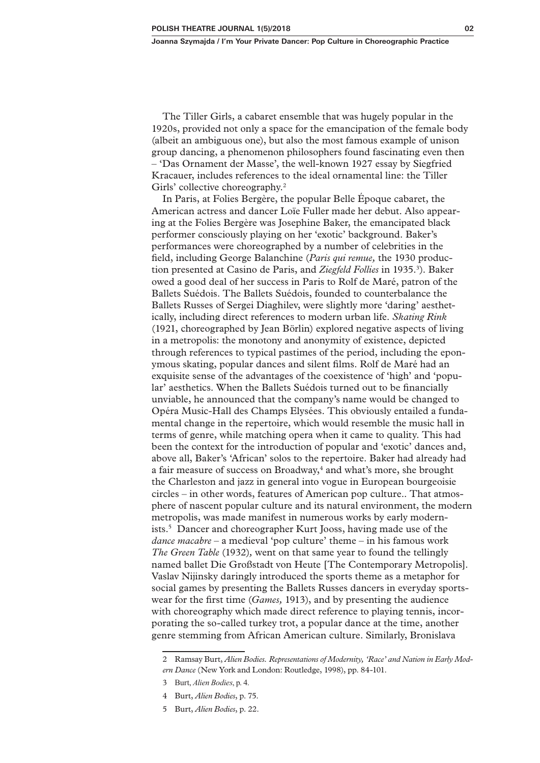The Tiller Girls, a cabaret ensemble that was hugely popular in the 1920s, provided not only a space for the emancipation of the female body (albeit an ambiguous one), but also the most famous example of unison group dancing, a phenomenon philosophers found fascinating even then – 'Das Ornament der Masse', the well-known 1927 essay by Siegfried Kracauer, includes references to the ideal ornamental line: the Tiller Girls' collective choreography.<sup>2</sup>

In Paris, at Folies Bergère, the popular Belle Époque cabaret, the American actress and dancer Loïe Fuller made her debut. Also appearing at the Folies Bergère was Josephine Baker, the emancipated black performer consciously playing on her 'exotic' background. Baker's performances were choreographed by a number of celebrities in the field, including George Balanchine (*Paris qui remue,* the 1930 production presented at Casino de Paris, and Ziegfeld Follies in 1935.<sup>3</sup>). Baker owed a good deal of her success in Paris to Rolf de Maré, patron of the Ballets Suédois. The Ballets Suédois, founded to counterbalance the Ballets Russes of Sergei Diaghilev, were slightly more 'daring' aesthetically, including direct references to modern urban life. *Skating Rink*  (1921, choreographed by Jean Börlin) explored negative aspects of living in a metropolis: the monotony and anonymity of existence, depicted through references to typical pastimes of the period, including the eponymous skating, popular dances and silent films. Rolf de Maré had an exquisite sense of the advantages of the coexistence of 'high' and 'popular' aesthetics. When the Ballets Suédois turned out to be financially unviable, he announced that the company's name would be changed to Opéra Music-Hall des Champs Elysées. This obviously entailed a fundamental change in the repertoire, which would resemble the music hall in terms of genre, while matching opera when it came to quality. This had been the context for the introduction of popular and 'exotic' dances and, above all, Baker's 'African' solos to the repertoire. Baker had already had a fair measure of success on Broadway,<sup>4</sup> and what's more, she brought the Charleston and jazz in general into vogue in European bourgeoisie circles – in other words, features of American pop culture.. That atmosphere of nascent popular culture and its natural environment, the modern metropolis, was made manifest in numerous works by early modernists.5 Dancer and choreographer Kurt Jooss, having made use of the *dance macabre* – a medieval 'pop culture' theme – in his famous work *The Green Table* (1932)*,* went on that same year to found the tellingly named ballet Die Großstadt von Heute [The Contemporary Metropolis]. Vaslav Nijinsky daringly introduced the sports theme as a metaphor for social games by presenting the Ballets Russes dancers in everyday sportswear for the first time (*Games,* 1913), and by presenting the audience with choreography which made direct reference to playing tennis, incorporating the so-called turkey trot, a popular dance at the time, another genre stemming from African American culture. Similarly, Bronislava

<sup>2</sup> Ramsay Burt, *Alien Bodies. Representations of Modernity, 'Race' and Nation in Early Modern Dance* (New York and London: Routledge, 1998), pp. 84-101.

<sup>3</sup> Burt, *Alien Bodies*, p. 4.

<sup>4</sup> Burt, *Alien Bodies*, p. 75.

<sup>5</sup> Burt, *Alien Bodies*, p. 22.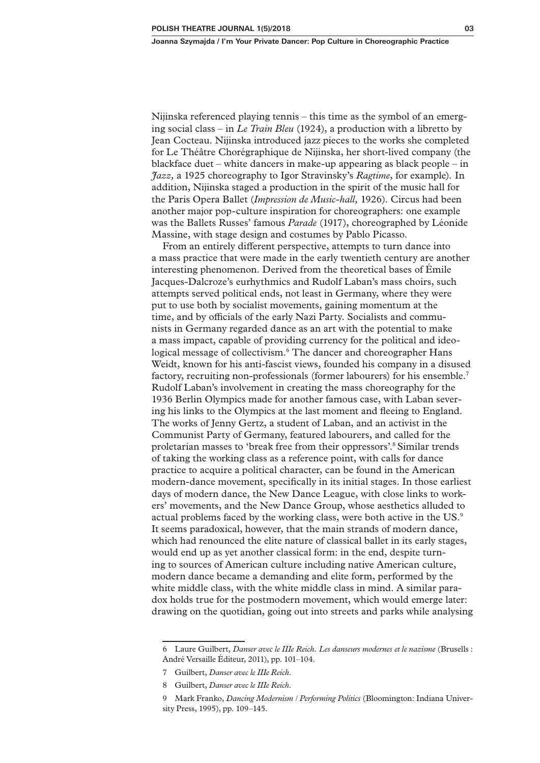Nijinska referenced playing tennis – this time as the symbol of an emerging social class – in *Le Train Bleu* (1924), a production with a libretto by Jean Cocteau. Nijinska introduced jazz pieces to the works she completed for Le Théâtre Chorégraphique de Nijinska, her short-lived company (the blackface duet – white dancers in make-up appearing as black people – in *Jazz,* a 1925 choreography to Igor Stravinsky's *Ragtime*, for example)*.* In addition, Nijinska staged a production in the spirit of the music hall for the Paris Opera Ballet (*Impression de Music-hall,* 1926). Circus had been another major pop-culture inspiration for choreographers: one example was the Ballets Russes' famous *Parade* (1917), choreographed by Léonide Massine, with stage design and costumes by Pablo Picasso.

From an entirely different perspective, attempts to turn dance into a mass practice that were made in the early twentieth century are another interesting phenomenon. Derived from the theoretical bases of Émile Jacques-Dalcroze's eurhythmics and Rudolf Laban's mass choirs, such attempts served political ends, not least in Germany, where they were put to use both by socialist movements, gaining momentum at the time, and by officials of the early Nazi Party. Socialists and communists in Germany regarded dance as an art with the potential to make a mass impact, capable of providing currency for the political and ideological message of collectivism.<sup>6</sup> The dancer and choreographer Hans Weidt, known for his anti-fascist views, founded his company in a disused factory, recruiting non-professionals (former labourers) for his ensemble.7 Rudolf Laban's involvement in creating the mass choreography for the 1936 Berlin Olympics made for another famous case, with Laban severing his links to the Olympics at the last moment and fleeing to England. The works of Jenny Gertz, a student of Laban, and an activist in the Communist Party of Germany, featured labourers, and called for the proletarian masses to 'break free from their oppressors'.8 Similar trends of taking the working class as a reference point, with calls for dance practice to acquire a political character, can be found in the American modern-dance movement, specifically in its initial stages. In those earliest days of modern dance, the New Dance League, with close links to workers' movements, and the New Dance Group, whose aesthetics alluded to actual problems faced by the working class, were both active in the US.9 It seems paradoxical, however, that the main strands of modern dance, which had renounced the elite nature of classical ballet in its early stages, would end up as yet another classical form: in the end, despite turning to sources of American culture including native American culture, modern dance became a demanding and elite form, performed by the white middle class, with the white middle class in mind. A similar paradox holds true for the postmodern movement, which would emerge later: drawing on the quotidian, going out into streets and parks while analysing

<sup>6</sup> Laure Guilbert, *Danser avec le IIIe Reich. Les danseurs modernes et le nazisme* (Brusells : André Versaille Éditeur, 2011), pp. 101–104.

<sup>7</sup> Guilbert, *Danser avec le IIIe Reich.*

<sup>8</sup> Guilbert, *Danser avec le IIIe Reich.*

<sup>9</sup> Mark Franko, *Dancing Modernism / Performing Politics* (Bloomington: Indiana University Press, 1995), pp. 109–145.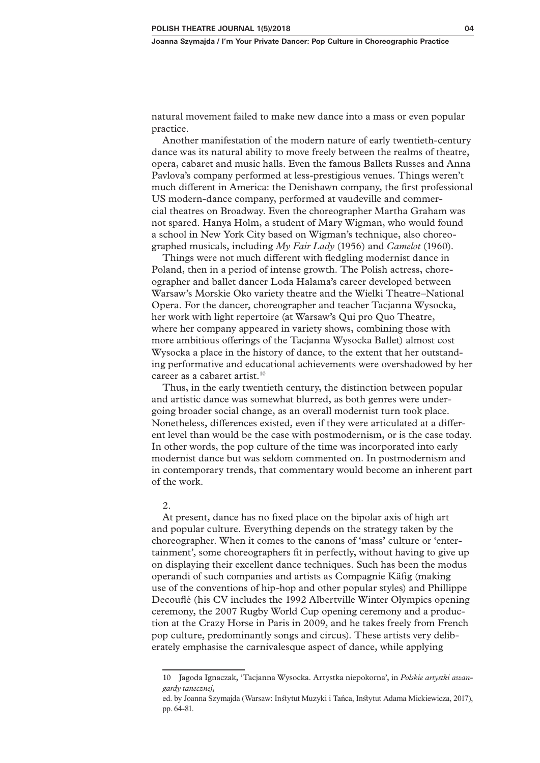natural movement failed to make new dance into a mass or even popular practice.

Another manifestation of the modern nature of early twentieth-century dance was its natural ability to move freely between the realms of theatre, opera, cabaret and music halls. Even the famous Ballets Russes and Anna Pavlova's company performed at less-prestigious venues. Things weren't much different in America: the Denishawn company, the first professional US modern-dance company, performed at vaudeville and commercial theatres on Broadway. Even the choreographer Martha Graham was not spared. Hanya Holm, a student of Mary Wigman, who would found a school in New York City based on Wigman's technique, also choreographed musicals, including *My Fair Lady* (1956) and *Camelot* (1960).

Things were not much different with fledgling modernist dance in Poland, then in a period of intense growth. The Polish actress, choreographer and ballet dancer Loda Halama's career developed between Warsaw's Morskie Oko variety theatre and the Wielki Theatre–National Opera. For the dancer, choreographer and teacher Tacjanna Wysocka, her work with light repertoire (at Warsaw's Qui pro Quo Theatre, where her company appeared in variety shows, combining those with more ambitious offerings of the Tacjanna Wysocka Ballet) almost cost Wysocka a place in the history of dance, to the extent that her outstanding performative and educational achievements were overshadowed by her career as a cabaret artist. $10<sup>10</sup>$ 

Thus, in the early twentieth century, the distinction between popular and artistic dance was somewhat blurred, as both genres were undergoing broader social change, as an overall modernist turn took place. Nonetheless, differences existed, even if they were articulated at a different level than would be the case with postmodernism, or is the case today. In other words, the pop culture of the time was incorporated into early modernist dance but was seldom commented on. In postmodernism and in contemporary trends, that commentary would become an inherent part of the work.

#### 2.

At present, dance has no fixed place on the bipolar axis of high art and popular culture. Everything depends on the strategy taken by the choreographer. When it comes to the canons of 'mass' culture or 'entertainment', some choreographers fit in perfectly, without having to give up on displaying their excellent dance techniques. Such has been the modus operandi of such companies and artists as Compagnie Käfig (making use of the conventions of hip-hop and other popular styles) and Phillippe Decouflé (his CV includes the 1992 Albertville Winter Olympics opening ceremony, the 2007 Rugby World Cup opening ceremony and a production at the Crazy Horse in Paris in 2009, and he takes freely from French pop culture, predominantly songs and circus). These artists very deliberately emphasise the carnivalesque aspect of dance, while applying

<sup>10</sup> Jagoda Ignaczak, 'Tacjanna Wysocka. Artystka niepokorna', in *Polskie artystki awangardy tanecznej*,

ed. by Joanna Szymajda (Warsaw: Instytut Muzyki i Tańca, Instytut Adama Mickiewicza, 2017), pp. 64-81.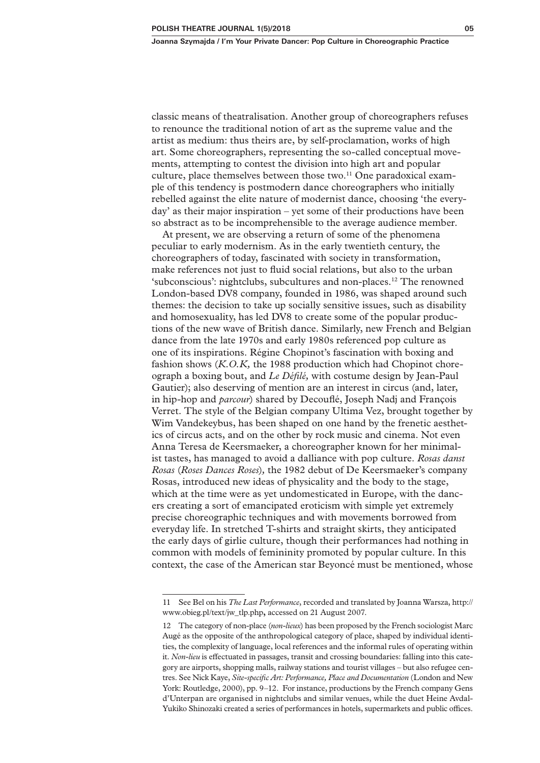classic means of theatralisation. Another group of choreographers refuses to renounce the traditional notion of art as the supreme value and the artist as medium: thus theirs are, by self-proclamation, works of high art. Some choreographers, representing the so-called conceptual movements, attempting to contest the division into high art and popular culture, place themselves between those two.<sup>11</sup> One paradoxical example of this tendency is postmodern dance choreographers who initially rebelled against the elite nature of modernist dance, choosing 'the everyday' as their major inspiration – yet some of their productions have been so abstract as to be incomprehensible to the average audience member.

At present, we are observing a return of some of the phenomena peculiar to early modernism. As in the early twentieth century, the choreographers of today, fascinated with society in transformation, make references not just to fluid social relations, but also to the urban 'subconscious': nightclubs, subcultures and non-places.12 The renowned London-based DV8 company, founded in 1986, was shaped around such themes: the decision to take up socially sensitive issues, such as disability and homosexuality, has led DV8 to create some of the popular productions of the new wave of British dance. Similarly, new French and Belgian dance from the late 1970s and early 1980s referenced pop culture as one of its inspirations. Régine Chopinot's fascination with boxing and fashion shows (*K.O.K,* the 1988 production which had Chopinot choreograph a boxing bout, and *Le Défilé,* with costume design by Jean-Paul Gautier); also deserving of mention are an interest in circus (and, later, in hip-hop and *parcour*) shared by Decouflé, Joseph Nadj and François Verret. The style of the Belgian company Ultima Vez, brought together by Wim Vandekeybus, has been shaped on one hand by the frenetic aesthetics of circus acts, and on the other by rock music and cinema. Not even Anna Teresa de Keersmaeker, a choreographer known for her minimalist tastes, has managed to avoid a dalliance with pop culture. *Rosas danst Rosas* (*Roses Dances Roses*)*,* the 1982 debut of De Keersmaeker's company Rosas, introduced new ideas of physicality and the body to the stage, which at the time were as yet undomesticated in Europe, with the dancers creating a sort of emancipated eroticism with simple yet extremely precise choreographic techniques and with movements borrowed from everyday life. In stretched T-shirts and straight skirts, they anticipated the early days of girlie culture, though their performances had nothing in common with models of femininity promoted by popular culture. In this context, the case of the American star Beyoncé must be mentioned, whose

<sup>11</sup> See Bel on his *The Last Performance*, recorded and translated by Joanna Warsza, http:// www.obieg.pl/text/jw\_tlp.php**,** accessed on 21 August 2007.

<sup>12</sup> The category of non-place (*non-lieux*) has been proposed by the French sociologist Marc Augé as the opposite of the anthropological category of place, shaped by individual identities, the complexity of language, local references and the informal rules of operating within it. *Non-lieu* is effectuated in passages, transit and crossing boundaries: falling into this category are airports, shopping malls, railway stations and tourist villages – but also refugee centres. See Nick Kaye, *Site-specific Art: Performance, Place and Documentation* (London and New York: Routledge, 2000), pp. 9–12. For instance, productions by the French company Gens d'Unterpan are organised in nightclubs and similar venues, while the duet Heine Avdal-Yukiko Shinozaki created a series of performances in hotels, supermarkets and public offices.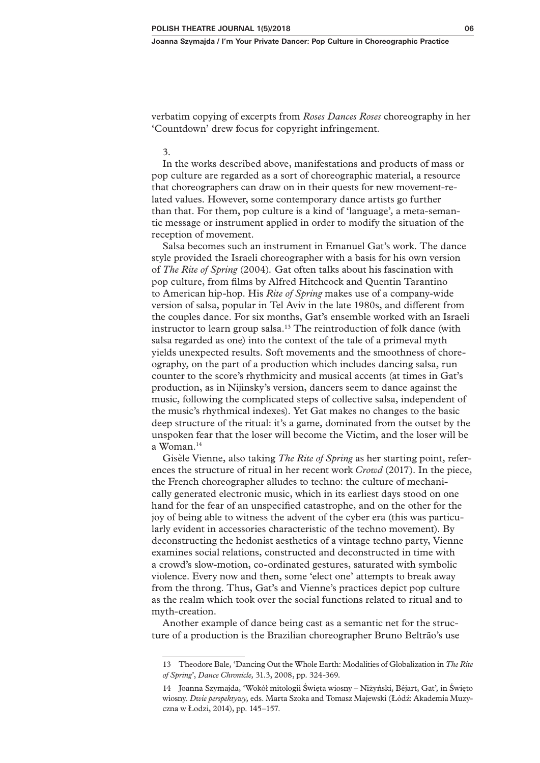verbatim copying of excerpts from *Roses Dances Roses* choreography in her 'Countdown' drew focus for copyright infringement.

# 3.

In the works described above, manifestations and products of mass or pop culture are regarded as a sort of choreographic material, a resource that choreographers can draw on in their quests for new movement-related values. However, some contemporary dance artists go further than that. For them, pop culture is a kind of 'language', a meta-semantic message or instrument applied in order to modify the situation of the reception of movement.

Salsa becomes such an instrument in Emanuel Gat's work. The dance style provided the Israeli choreographer with a basis for his own version of *The Rite of Spring* (2004)*.* Gat often talks about his fascination with pop culture, from films by Alfred Hitchcock and Quentin Tarantino to American hip-hop. His *Rite of Spring* makes use of a company-wide version of salsa, popular in Tel Aviv in the late 1980s, and different from the couples dance. For six months, Gat's ensemble worked with an Israeli instructor to learn group salsa.<sup>13</sup> The reintroduction of folk dance (with salsa regarded as one) into the context of the tale of a primeval myth yields unexpected results. Soft movements and the smoothness of choreography, on the part of a production which includes dancing salsa, run counter to the score's rhythmicity and musical accents (at times in Gat's production, as in Nijinsky's version, dancers seem to dance against the music, following the complicated steps of collective salsa, independent of the music's rhythmical indexes). Yet Gat makes no changes to the basic deep structure of the ritual: it's a game, dominated from the outset by the unspoken fear that the loser will become the Victim, and the loser will be a Woman.14

Gisèle Vienne, also taking *The Rite of Spring* as her starting point, references the structure of ritual in her recent work *Crowd* (2017). In the piece, the French choreographer alludes to techno: the culture of mechanically generated electronic music, which in its earliest days stood on one hand for the fear of an unspecified catastrophe, and on the other for the joy of being able to witness the advent of the cyber era (this was particularly evident in accessories characteristic of the techno movement). By deconstructing the hedonist aesthetics of a vintage techno party, Vienne examines social relations, constructed and deconstructed in time with a crowd's slow-motion, co-ordinated gestures, saturated with symbolic violence. Every now and then, some 'elect one' attempts to break away from the throng. Thus, Gat's and Vienne's practices depict pop culture as the realm which took over the social functions related to ritual and to myth-creation.

Another example of dance being cast as a semantic net for the structure of a production is the Brazilian choreographer Bruno Beltrão's use

<sup>13</sup> Theodore Bale, 'Dancing Out the Whole Earth: Modalities of Globalization in *The Rite of Spring*', *Dance Chronicle,* 31.3, 2008, pp. 324-369.

<sup>14</sup> Joanna Szymajda, 'Wokół mitologii Święta wiosny – Niżyński, Béjart, Gat'*,* in Święto wiosny. *Dwie perspektywy,* eds. Marta Szoka and Tomasz Majewski (Łódź: Akademia Muzyczna w Łodzi, 2014), pp. 145–157.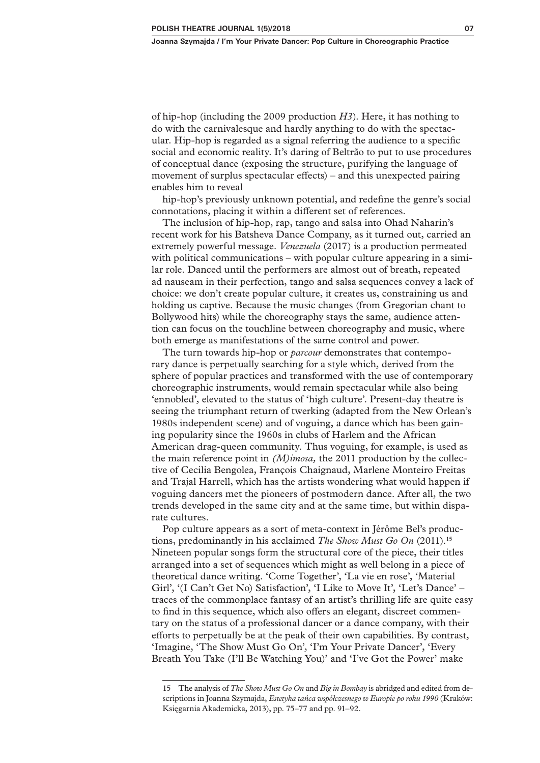of hip-hop (including the 2009 production *H3*). Here, it has nothing to do with the carnivalesque and hardly anything to do with the spectacular. Hip-hop is regarded as a signal referring the audience to a specific social and economic reality. It's daring of Beltrão to put to use procedures of conceptual dance (exposing the structure, purifying the language of movement of surplus spectacular effects) – and this unexpected pairing enables him to reveal

hip-hop's previously unknown potential, and redefine the genre's social connotations, placing it within a different set of references.

The inclusion of hip-hop, rap, tango and salsa into Ohad Naharin's recent work for his Batsheva Dance Company, as it turned out, carried an extremely powerful message. *Venezuela* (2017) is a production permeated with political communications – with popular culture appearing in a similar role. Danced until the performers are almost out of breath, repeated ad nauseam in their perfection, tango and salsa sequences convey a lack of choice: we don't create popular culture, it creates us, constraining us and holding us captive. Because the music changes (from Gregorian chant to Bollywood hits) while the choreography stays the same, audience attention can focus on the touchline between choreography and music, where both emerge as manifestations of the same control and power.

The turn towards hip-hop or *parcour* demonstrates that contemporary dance is perpetually searching for a style which, derived from the sphere of popular practices and transformed with the use of contemporary choreographic instruments, would remain spectacular while also being 'ennobled', elevated to the status of 'high culture'. Present-day theatre is seeing the triumphant return of twerking (adapted from the New Orlean's 1980s independent scene) and of voguing, a dance which has been gaining popularity since the 1960s in clubs of Harlem and the African American drag-queen community. Thus voguing, for example, is used as the main reference point in *(M)imosa,* the 2011 production by the collective of Cecilia Bengolea, François Chaignaud, Marlene Monteiro Freitas and Trajal Harrell, which has the artists wondering what would happen if voguing dancers met the pioneers of postmodern dance. After all, the two trends developed in the same city and at the same time, but within disparate cultures.

Pop culture appears as a sort of meta-context in Jérôme Bel's productions, predominantly in his acclaimed *The Show Must Go On* (2011).15 Nineteen popular songs form the structural core of the piece, their titles arranged into a set of sequences which might as well belong in a piece of theoretical dance writing. 'Come Together', 'La vie en rose', 'Material Girl', '(I Can't Get No) Satisfaction', 'I Like to Move It', 'Let's Dance' – traces of the commonplace fantasy of an artist's thrilling life are quite easy to find in this sequence, which also offers an elegant, discreet commentary on the status of a professional dancer or a dance company, with their efforts to perpetually be at the peak of their own capabilities. By contrast, 'Imagine, 'The Show Must Go On', 'I'm Your Private Dancer', 'Every Breath You Take (I'll Be Watching You)' and 'I've Got the Power' make

<sup>15</sup> The analysis of *The Show Must Go On* and *Big in Bombay* is abridged and edited from descriptions in Joanna Szymajda, *Estetyka tańca współczesnego w Europie po roku 1990* (Kraków: Księgarnia Akademicka, 2013), pp. 75–77 and pp. 91–92.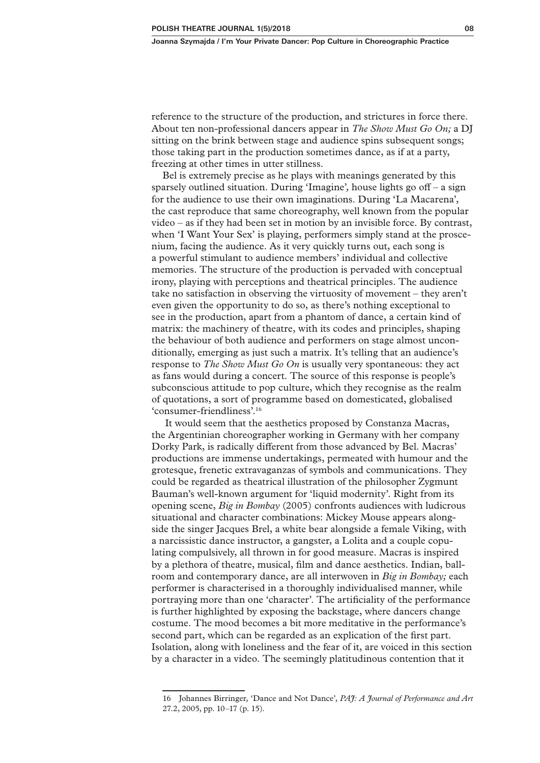reference to the structure of the production, and strictures in force there. About ten non-professional dancers appear in *The Show Must Go On;* a DJ sitting on the brink between stage and audience spins subsequent songs; those taking part in the production sometimes dance, as if at a party, freezing at other times in utter stillness.

Bel is extremely precise as he plays with meanings generated by this sparsely outlined situation. During 'Imagine'*,* house lights go off – a sign for the audience to use their own imaginations. During 'La Macarena', the cast reproduce that same choreography, well known from the popular video – as if they had been set in motion by an invisible force. By contrast, when 'I Want Your Sex' is playing, performers simply stand at the proscenium, facing the audience. As it very quickly turns out, each song is a powerful stimulant to audience members' individual and collective memories. The structure of the production is pervaded with conceptual irony, playing with perceptions and theatrical principles. The audience take no satisfaction in observing the virtuosity of movement – they aren't even given the opportunity to do so, as there's nothing exceptional to see in the production, apart from a phantom of dance, a certain kind of matrix: the machinery of theatre, with its codes and principles, shaping the behaviour of both audience and performers on stage almost unconditionally, emerging as just such a matrix. It's telling that an audience's response to *The Show Must Go On* is usually very spontaneous: they act as fans would during a concert. The source of this response is people's subconscious attitude to pop culture, which they recognise as the realm of quotations, a sort of programme based on domesticated, globalised 'consumer-friendliness'.16

It would seem that the aesthetics proposed by Constanza Macras, the Argentinian choreographer working in Germany with her company Dorky Park, is radically different from those advanced by Bel. Macras' productions are immense undertakings, permeated with humour and the grotesque, frenetic extravaganzas of symbols and communications. They could be regarded as theatrical illustration of the philosopher Zygmunt Bauman's well-known argument for 'liquid modernity'. Right from its opening scene, *Big in Bombay* (2005) confronts audiences with ludicrous situational and character combinations: Mickey Mouse appears alongside the singer Jacques Brel, a white bear alongside a female Viking, with a narcissistic dance instructor, a gangster, a Lolita and a couple copulating compulsively, all thrown in for good measure. Macras is inspired by a plethora of theatre, musical, film and dance aesthetics. Indian, ballroom and contemporary dance, are all interwoven in *Big in Bombay;* each performer is characterised in a thoroughly individualised manner, while portraying more than one 'character'. The artificiality of the performance is further highlighted by exposing the backstage, where dancers change costume. The mood becomes a bit more meditative in the performance's second part, which can be regarded as an explication of the first part. Isolation, along with loneliness and the fear of it, are voiced in this section by a character in a video. The seemingly platitudinous contention that it

<sup>16</sup> Johannes Birringer, 'Dance and Not Dance', *PAJ: A Journal of Performance and Art*  27.2, 2005, pp. 10–17 (p. 15).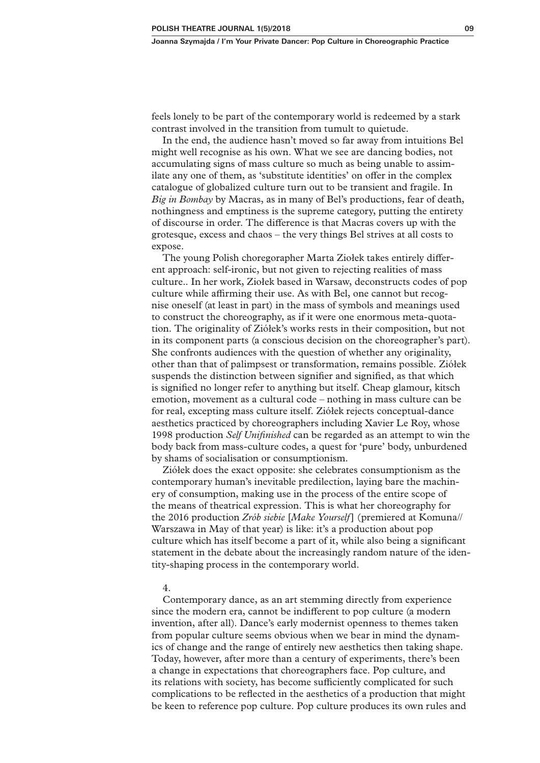feels lonely to be part of the contemporary world is redeemed by a stark contrast involved in the transition from tumult to quietude.

In the end, the audience hasn't moved so far away from intuitions Bel might well recognise as his own. What we see are dancing bodies, not accumulating signs of mass culture so much as being unable to assimilate any one of them, as 'substitute identities' on offer in the complex catalogue of globalized culture turn out to be transient and fragile. In *Big in Bombay* by Macras, as in many of Bel's productions, fear of death, nothingness and emptiness is the supreme category, putting the entirety of discourse in order. The difference is that Macras covers up with the grotesque, excess and chaos – the very things Bel strives at all costs to expose.

The young Polish choregorapher Marta Ziołek takes entirely different approach: self-ironic, but not given to rejecting realities of mass culture.. In her work, Ziołek based in Warsaw, deconstructs codes of pop culture while affirming their use. As with Bel, one cannot but recognise oneself (at least in part) in the mass of symbols and meanings used to construct the choreography, as if it were one enormous meta-quotation. The originality of Ziółek's works rests in their composition, but not in its component parts (a conscious decision on the choreographer's part). She confronts audiences with the question of whether any originality, other than that of palimpsest or transformation, remains possible. Ziółek suspends the distinction between signifier and signified, as that which is signified no longer refer to anything but itself. Cheap glamour, kitsch emotion, movement as a cultural code – nothing in mass culture can be for real, excepting mass culture itself. Ziółek rejects conceptual-dance aesthetics practiced by choreographers including Xavier Le Roy, whose 1998 production *Self Unifinished* can be regarded as an attempt to win the body back from mass-culture codes, a quest for 'pure' body, unburdened by shams of socialisation or consumptionism.

Ziółek does the exact opposite: she celebrates consumptionism as the contemporary human's inevitable predilection, laying bare the machinery of consumption, making use in the process of the entire scope of the means of theatrical expression. This is what her choreography for the 2016 production *Zrób siebie* [*Make Yourself*] (premiered at Komuna// Warszawa in May of that year) is like: it's a production about pop culture which has itself become a part of it, while also being a significant statement in the debate about the increasingly random nature of the identity-shaping process in the contemporary world.

#### 4.

Contemporary dance, as an art stemming directly from experience since the modern era, cannot be indifferent to pop culture (a modern invention, after all). Dance's early modernist openness to themes taken from popular culture seems obvious when we bear in mind the dynamics of change and the range of entirely new aesthetics then taking shape. Today, however, after more than a century of experiments, there's been a change in expectations that choreographers face. Pop culture, and its relations with society, has become sufficiently complicated for such complications to be reflected in the aesthetics of a production that might be keen to reference pop culture. Pop culture produces its own rules and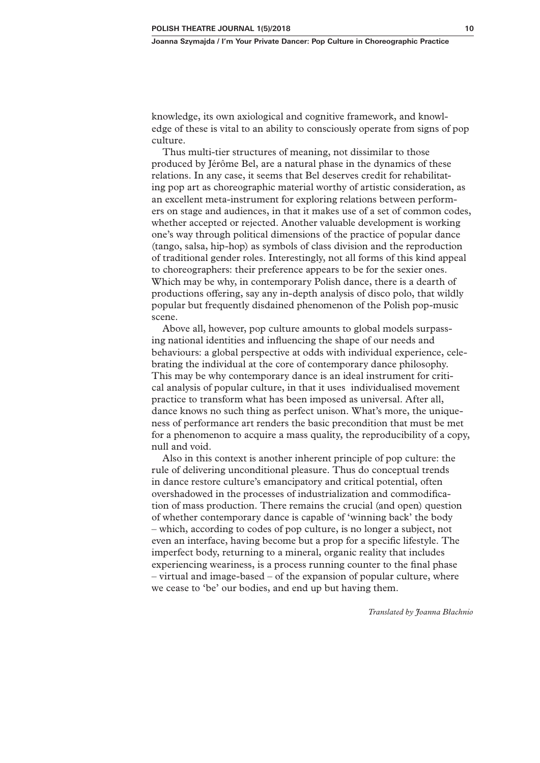knowledge, its own axiological and cognitive framework, and knowledge of these is vital to an ability to consciously operate from signs of pop culture.

Thus multi-tier structures of meaning, not dissimilar to those produced by Jérôme Bel, are a natural phase in the dynamics of these relations. In any case, it seems that Bel deserves credit for rehabilitating pop art as choreographic material worthy of artistic consideration, as an excellent meta-instrument for exploring relations between performers on stage and audiences, in that it makes use of a set of common codes, whether accepted or rejected. Another valuable development is working one's way through political dimensions of the practice of popular dance (tango, salsa, hip-hop) as symbols of class division and the reproduction of traditional gender roles. Interestingly, not all forms of this kind appeal to choreographers: their preference appears to be for the sexier ones. Which may be why, in contemporary Polish dance, there is a dearth of productions offering, say any in-depth analysis of disco polo, that wildly popular but frequently disdained phenomenon of the Polish pop-music scene.

Above all, however, pop culture amounts to global models surpassing national identities and influencing the shape of our needs and behaviours: a global perspective at odds with individual experience, celebrating the individual at the core of contemporary dance philosophy. This may be why contemporary dance is an ideal instrument for critical analysis of popular culture, in that it uses individualised movement practice to transform what has been imposed as universal. After all, dance knows no such thing as perfect unison. What's more, the uniqueness of performance art renders the basic precondition that must be met for a phenomenon to acquire a mass quality, the reproducibility of a copy, null and void.

Also in this context is another inherent principle of pop culture: the rule of delivering unconditional pleasure. Thus do conceptual trends in dance restore culture's emancipatory and critical potential, often overshadowed in the processes of industrialization and commodification of mass production. There remains the crucial (and open) question of whether contemporary dance is capable of 'winning back' the body – which, according to codes of pop culture, is no longer a subject, not even an interface, having become but a prop for a specific lifestyle. The imperfect body, returning to a mineral, organic reality that includes experiencing weariness, is a process running counter to the final phase – virtual and image-based – of the expansion of popular culture, where we cease to 'be' our bodies, and end up but having them.

*Translated by Joanna Błachnio*